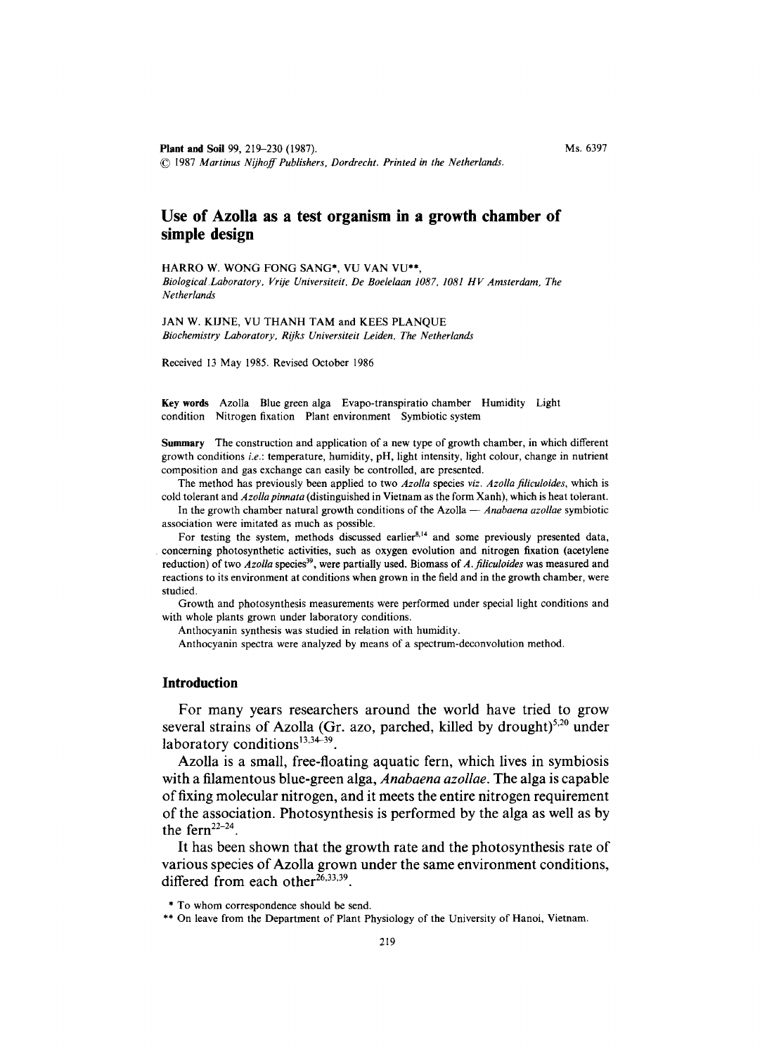Plant and Soil 99, **219-230 (1987).**  9 1987 *Martinus Nijhoff Publishers, Dordrecht. Printed in the Netherlands.* 

# **Use of Azolla as a test organism in a growth chamber of simple design**

HARROW. WONG FONG SANG\*, VU VAN VU\*\*, *BiologicalLaboratory, Vrije Universiteit, De Boelelaan 1087, 1081 HV Amsterdam, The Netherlands* 

JAN W. KIJNE, VU THANH TAM and KEES PLANQUE *Biochemistry Laboratory, Rijks Universiteit Leiden, The Netherlands* 

Received 13 May 1985. Revised October 1986

**Key words** Azolla Blue green alga Evapo-transpiratio chamber Humidity Light condition Nitrogen fixation Plant environment Symbiotic system

**Summary** The construction and application of a new type of growth chamber, in which different growth conditions *i.e.:* temperature, humidity, pH, light intensity, light colour, change in nutrient composition and gas exchange can easily be controlled, are presented.

The method has previously been applied to two *Azolla* species *viz. Azolla filiculoides,* which is cold tolerant and *Azolla pinnata* (distinguished in Vietnam as the form Xanh), which is heat tolerant.

In the growth chamber natural growth conditions of the Azolla -- *Anabaena azollae* symbiotic association were imitated as much as possible.

For testing the system, methods discussed earlier<sup>8,14</sup> and some previously presented data, concerning photosynthetic activities, such as oxygen evolution and nitrogen fixation (acetylene reduction) of two *Azolla* species<sup>39</sup>, were partially used. Biomass of *A. filiculoides* was measured and reactions to its environment at conditions when grown in the field and in the growth chamber, were studied.

Growth and photosynthesis measurements were performed under special light conditions and with whole plants grown under laboratory conditions.

Anthocyanin synthesis was studied in relation with humidity.

Anthocyanin spectra were analyzed by means of a spectrum-deconvolution method.

## **Introduction**

**For many years researchers around the world have tried to grow**  several strains of Azolla (Gr. azo, parched, killed by drought)<sup>5,20</sup> under laboratory conditions<sup>13,34-39</sup>.

**Azolla is a small, free-floating aquatic fern, which lives in symbiosis with a filamentous blue-green alga,** *Anabaena azollae.* **The alga is capable of fixing molecular nitrogen, and it meets the entire nitrogen requirement of the association. Photosynthesis is performed by the alga as well as by**  the fern<sup> $22-24$ </sup>.

**It has been shown that the growth rate and the photosynthesis rate of**  various species of Azolla grown under the same environment conditions, differed from each other $26,33,39$ .

<sup>\*</sup> To whom correspondence should be send.

<sup>\*\*</sup> On leave from the Department of Plant Physiology of the University of Hanoi, Vietnam.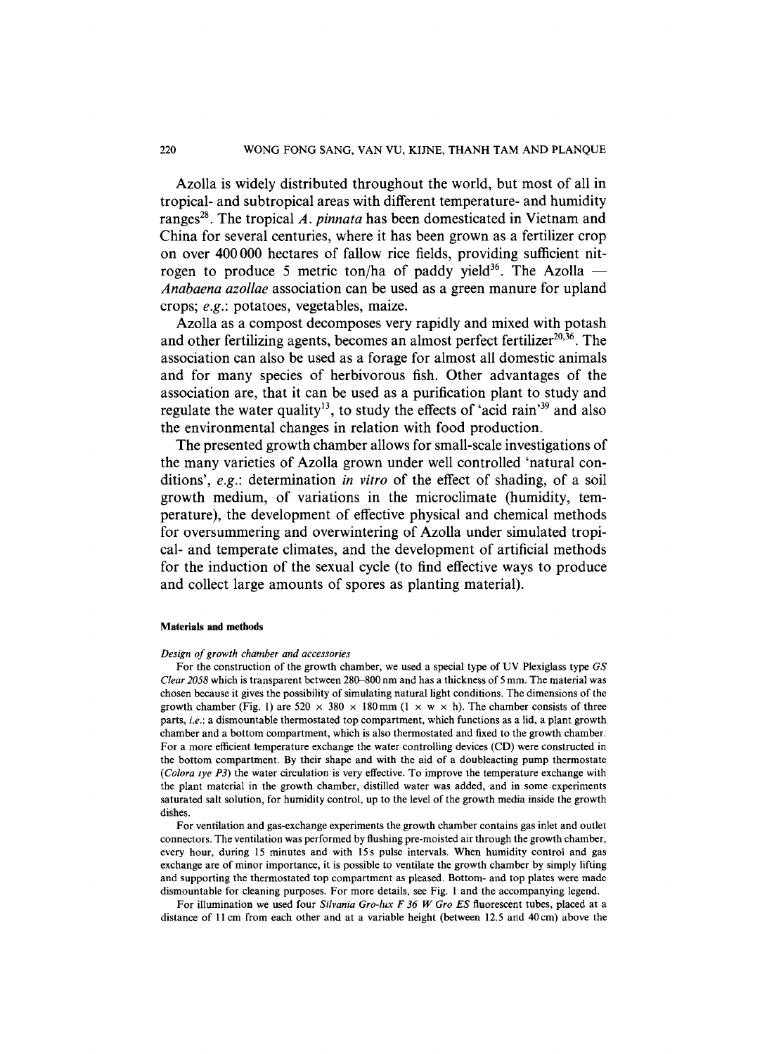**Azolla is widely distributed throughout the world, but most of all in tropical- and subtropical areas with different temperature- and humidity ranges 28. The tropical** *A. pinnata* **has been domesticated in Vietnam and China for several centuries, where it has been grown as a fertilizer crop on over 400 000 hectares of fallow rice fields, providing sufficient nit**rogen to produce 5 metric ton/ha of paddy yield<sup>36</sup>. The Azolla  $-$ *Anabaena azollae* **association can be used as a green manure for upland crops;** *e.g.:* **potatoes, vegetables, maize.** 

**Azolla as a compost decomposes very rapidly and mixed with potash**  and other fertilizing agents, becomes an almost perfect fertilizer<sup>20,36</sup>. The **association can also be used as a forage for almost all domestic animals and for many species of herbivorous fish. Other advantages of the association are, that it can be used as a purification plant to study and**  regulate the water quality<sup>13</sup>, to study the effects of 'acid rain<sup>'39</sup> and also **the environmental changes in relation with food production.** 

**The presented growth chamber allows for small-scale investigations of the many varieties of Azolla grown under well controlled 'natural conditions',** *e.g.:* **determination** *in vitro* **of the effect of shading, of a soil growth medium, of variations in the microclimate (humidity, temperature), the development of effective physical and chemical methods for oversummering and overwintering of Azolla under simulated tropical- and temperate climates, and the development of artificial methods for the induction of the sexual cycle (to find effective ways to produce and collect large amounts of spores as planting material).** 

#### **Materials and methods**

#### *Design of growth chamber and accessories*

For the construction of the growth chamber, we used a special type of UV Plexiglass type *GS Clear 2058* which is transparent between 280-800 nm and has a thickness of 5 mm. The material was chosen because it gives the **possibility of** simulating natural light conditions. The dimensions of the growth chamber (Fig. 1) are  $520 \times 380 \times 180$  mm ( $1 \times w \times h$ ). The chamber consists of three parts, *i.e.:* a dismountable thermostated top compartment, which functions as a lid, a plant growth chamber and a bottom compartment, which is also thermostated **and fixed** to the growth chamber. For a more efficient temperature exchange the water controlling devices (CD) were constructed in the bottom compartment. By their shape and with the **aid of** a doubleacting pump thermostate *(Colora tye P3)* the water circulation is very effective. To improve the temperature exchange with the plant material in the growth chamber, distilled water was **added, and** in some experiments saturated salt solution, for humidity control, up to the **level of** the growth media inside the growth dishes.

For **ventilation and** gas-exchange experiments the growth chamber contains gas inlet and outlet connectors. The ventilation was performed by flushing pre-moisted air through the growth chamber, every hour, during 15 minutes and with 15s pulse intervals. When humidity control and gas exchange are of minor importance, it is possible to ventilate the growth chamber by simply **lifting and** supporting the thermostated top compartment as pleased. Bottom- and top plates were made dismountable for cleaning purposes. For more details, see Fig. 1 and the accompanying legend.

For illumination we used four *Silvania Gro-lux F 36 W Gro ES* fluorescent tubes, placed at a distance of 11 cm from each other and at a variable height (between 12.5 and 40cm) above the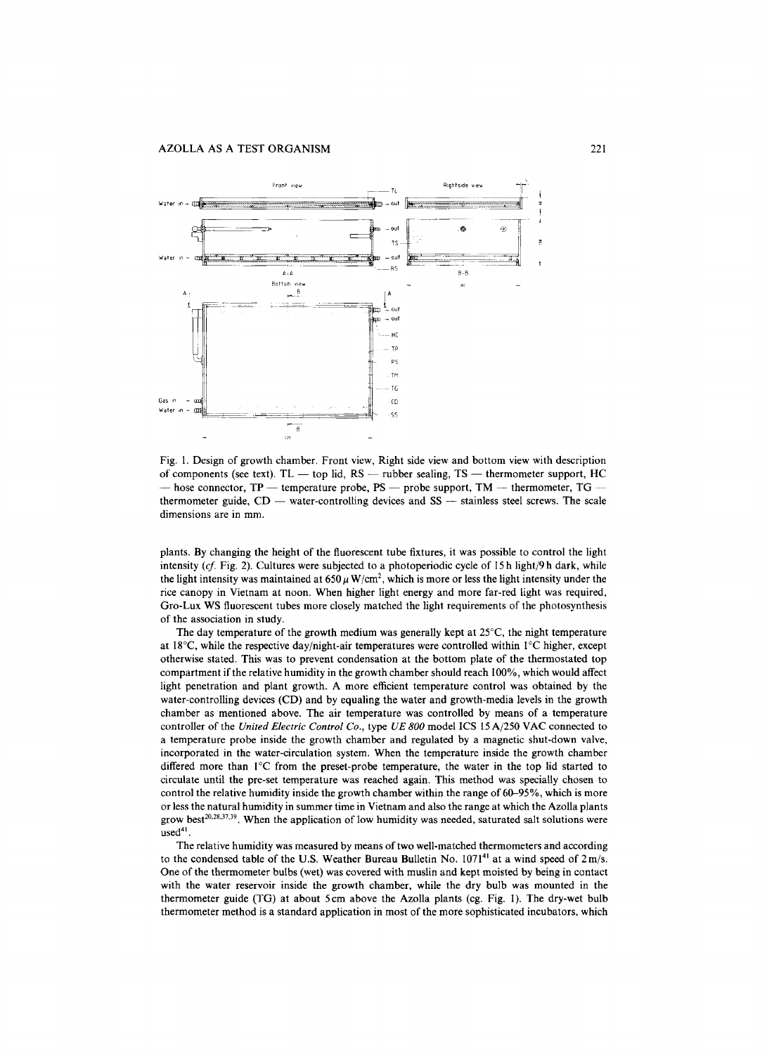

Fig. 1. Design of growth chamber. Front view, Right side view and bottom view with description of components (see text). TL  $-$  top lid, RS  $-$  rubber sealing, TS  $-$  thermometer support, HC  $-$  hose connector, TP  $-$  temperature probe, PS  $-$  probe support, TM  $-$  thermometer, TG  $$ thermometer guide,  $CD$  -- water-controlling devices and  $SS$  -- stainless steel screws. The scale dimensions are in mm.

plants. By changing the height of the fluorescent tube fixtures, it was possible to control the light intensity (cf. Fig. 2). Cultures were subjected to a photoperiodic cycle of 15 h light/9 h dark, while the light intensity was maintained at  $650~\mu$  W/cm<sup>2</sup>, which is more or less the light intensity under the rice canopy in Vietnam at noon. When higher light energy and more far-red light was required, Gro-Lux WS fluorescent tubes more closely matched the light requirements of the photosynthesis of the association in study.

The day temperature of the growth medium was generally kept at  $25^{\circ}$ C, the night temperature at 18 $^{\circ}$ C, while the respective day/night-air temperatures were controlled within 1 $^{\circ}$ C higher, except otherwise stated. This was to prevent condensation at the bottom plate of the thermostated top compartment if the relative humidity in the growth chamber should reach 100%, which would affect light penetration and plant growth. A more efficient temperature control was obtained by the water-controlling devices (CD) and by equaling the water and growth-media levels in the growth chamber as mentioned above. The air temperature was controlled by means of a temperature controller of the *United Electric Control Co.,* type *UE 800* model ICS 15 A/250 VAC connected to a temperature probe inside the growth chamber and regulated by a magnetic shut-down valve, incorporated in the water-circulation system. When the temperature inside the growth chamber differed more than  $1^{\circ}$ C from the preset-probe temperature, the water in the top lid started to circulate until the pre-set temperature was reached again. This method was specially chosen to control the relative humidity inside the growth chamber within the range of 60-95%, which is more or less the natural humidity in summer time in Vietnam and also the range at which the Azolla plants grow best<sup>20,28,37,39</sup>. When the application of low humidity was needed, saturated salt solutions were  $used<sup>41</sup>$ .

The relative humidity was measured by means of two well-matched thermometers and according to the condensed table of the U.S. Weather Bureau Bulletin No.  $1071<sup>41</sup>$  at a wind speed of  $2 \text{ m/s}$ . One of the thermometer bulbs (wet) was covered with muslin and kept moisted by being in contact with the water reservoir inside the growth chamber, while the dry bulb was mounted in the thermometer guide (TG) at about 5cm above the Azolla plants (cg. Fig. I). The dry-wet bulb thermometer method is a standard application in most of the more sophisticated incubators, which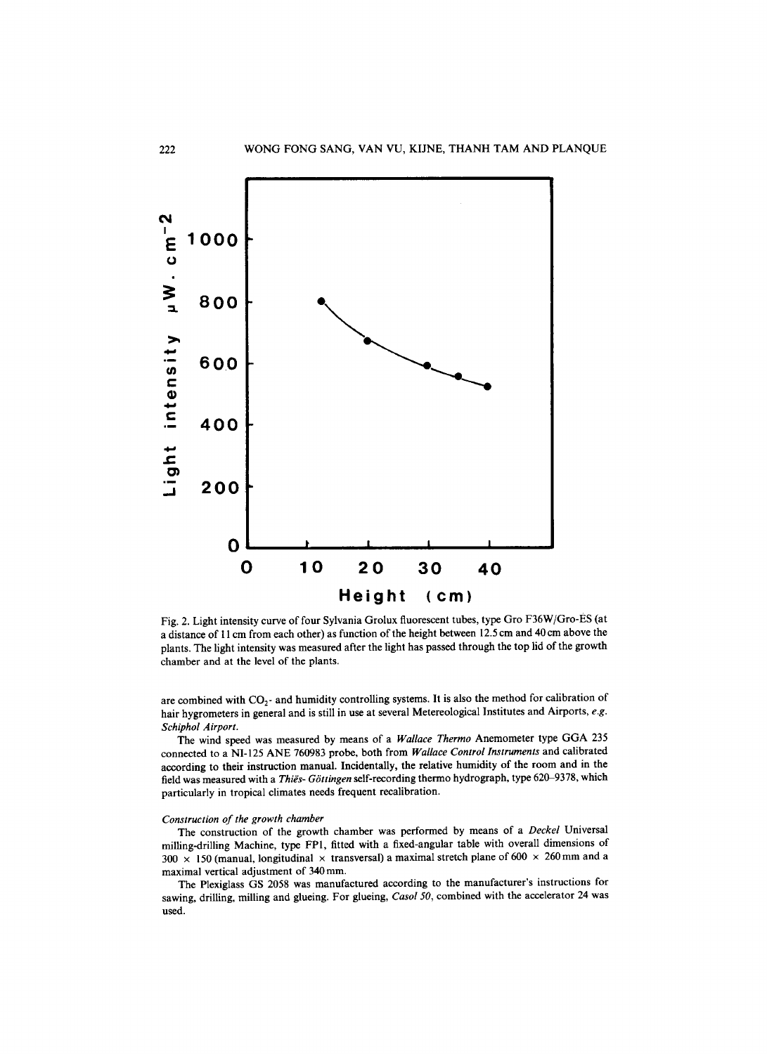

Fig. 2. Light intensity curve of four Sylvania Grolux fluorescent tubes, type Gro F36W/Gro-ES (at a distance of 11 cm from each other) as function of the height between 12.5 cm and 40 cm above the plants. The light intensity was measured after the light has passed through the top lid of the growth chamber and at the level of the plants.

are combined with  $CO_2$ - and humidity controlling systems. It is also the method for calibration of hair hygrometers in general and is still in use at several Metereological Institutes and Airports, *e.g. Schiphol Airport.* 

The wind speed was measured by means of a *Wallace Thermo* Anemometer type GGA 235 connected to a NI-125 ANE 760983 probe, both from *Wallace Control Instruments* and calibrated according to their instruction manual. Incidentally, the relative humidity of the room and in the field was measured with a *Thiës- Göttingen* self-recording thermo hydrograph, type 620-9378, which particularly in tropical climates needs frequent recalibration.

#### *Construction of the growth chamber*

The construction of the growth chamber was performed by means of a *Deckel* Universal milling-drilling Machine, type FP1, fitted with a fixed-angular table with overall dimensions of 300  $\times$  150 (manual, longitudinal  $\times$  transversal) a maximal stretch plane of 600  $\times$  260 mm and a maximal vertical adjustment of 340mm.

The Plexiglass GS 2058 was manufactured according to the manufacturer's instructions for sawing, drilling, milling and glueing. For glueing, *Caso150,* combined with the accelerator 24 was used.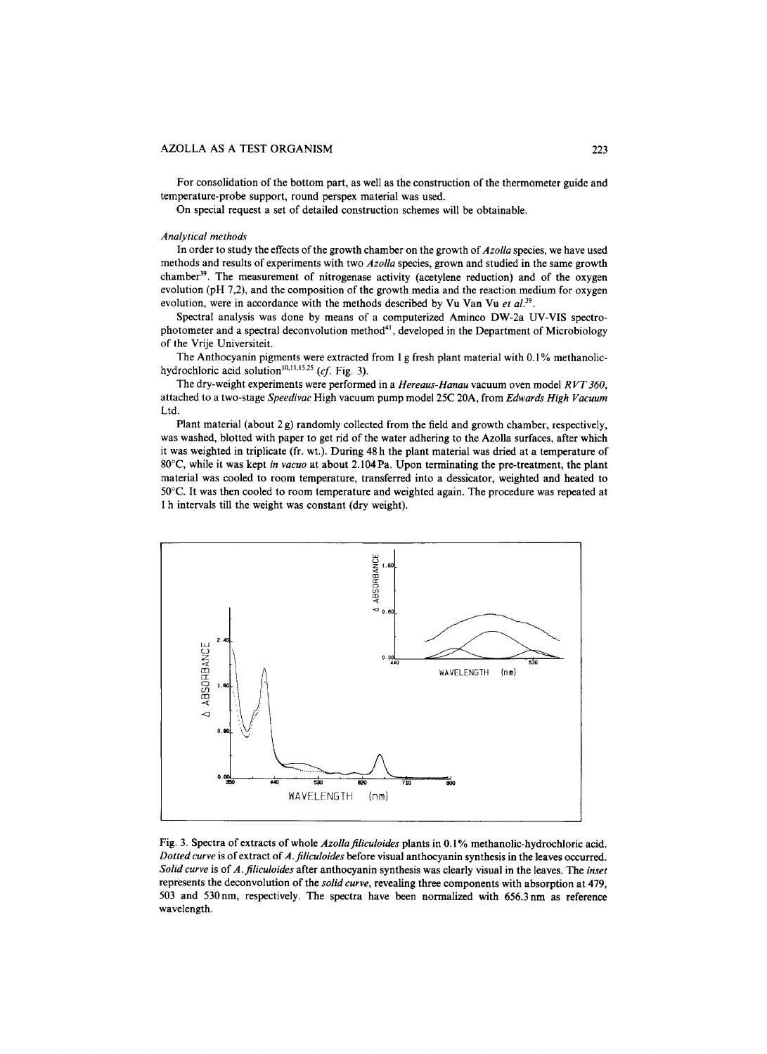## AZOLLA AS A TEST ORGANISM 223

For consolidation of the bottom part, as well as the construction of the thermometer guide and temperature-probe support, round perspex material was used.

On special request a set of detailed construction schemes will be obtainable.

#### *Analytical methods*

In order to study the effects of the growth chamber on the growth *of Azolla* species, we have used methods and results of experiments with two *Azolla* species, grown and studied in the same growth chamber<sup>39</sup>. The measurement of nitrogenase activity (acetylene reduction) and of the oxygen evolution (pH 7,2), and the composition of the growth media and the reaction medium for oxygen evolution, were in accordance with the methods described by Vu Van Vu et al.<sup>39</sup>.

Spectral analysis was done by means of a computerized Aminco DW-2a UV-VIS spectrophotometer and a spectral deconvolution method<sup>41</sup>, developed in the Department of Microbiology of the Vrije Universiteit.

The Anthocyanin pigments were extracted from 1 g fresh plant material with 0.1% methanolichydrochloric acid solution<sup>10,11,15,25</sup> (cf. Fig. 3).

The dry-weight experiments were performed in a *Hereaus-Hanau* vacuum oven model *R VT 360,*  attached to a two-stage *Speedivac* High vacuum pump model 25C 20A, from *Edwards High Vacuum*  Ltd.

Plant material (about 2 g) randomly collected from the field and growth chamber, respectively, was washed, blotted with paper to get rid of the water adhering to the Azolla surfaces, after which it was weighted in triplicate fir. wt.). During 48 h the plant material was dried at a temperature of 80~ while it was kept *in vacuo* at about 2.104 Pa. Upon terminating the pre-treatment, the plant material was cooled to room temperature, transferred into a dessicator, weighted and heated to 50~ It was then cooled to room temperature and weighted again. The procedure was repeated at I h intervals till the weight was constant (dry weight).



Fig. 3. Spectra of extracts of whole *Azollafiliculoides* plants in 0.1% methanolic-hydrochloric acid. *Dotted curve* is of extract *of A.filiculoides* before visual anthocyanin synthesis in the leaves occurred. *Solid curve* is of *A.filiculoides* after anthocyanin synthesis was clearly visual in the leaves. The *inset*  represents the deconvolution of the *solid curve,* revealing three components with absorption at 479, 503 and 530 nm, respectively. The spectra have been normalized with 656.3 nm as reference wavelength.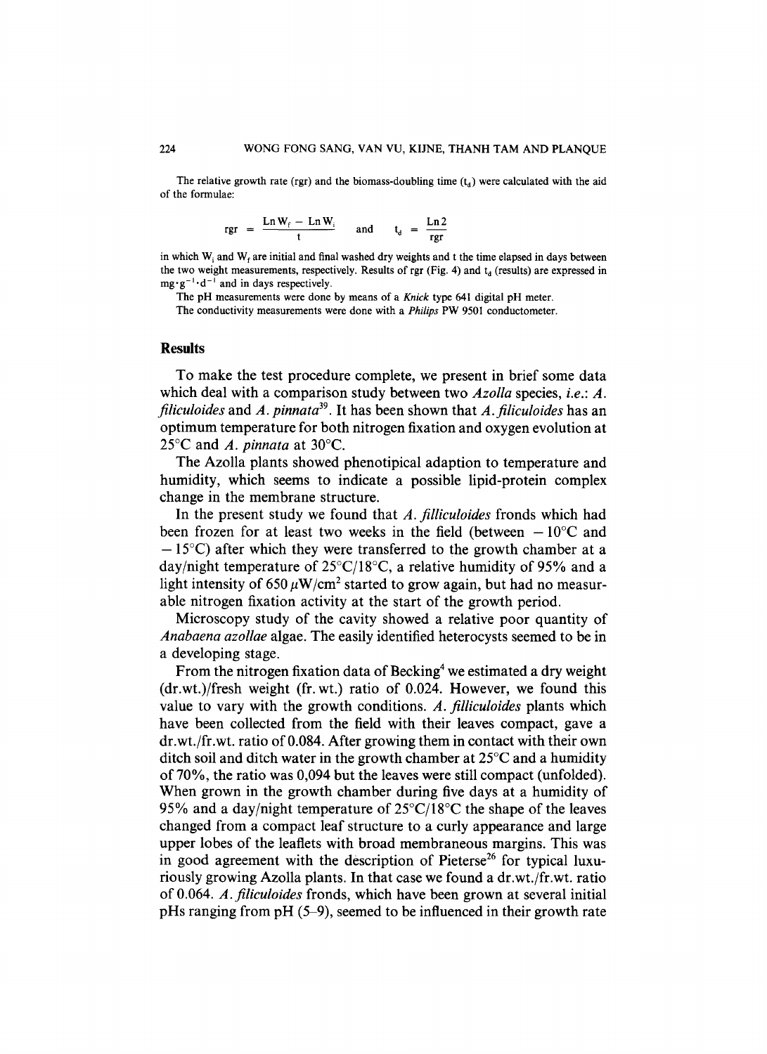The relative growth rate (rgr) and the biomass-doubling time  $(t_d)$  were calculated with the aid of the formulae:

$$
rgr = \frac{Ln W_f - Ln W_i}{t} \quad \text{and} \quad t_d = \frac{Ln 2}{rgr}
$$

in which  $W_i$  and  $W_f$  are initial and final washed dry weights and t the time elapsed in days between the two weight measurements, respectively. Results of rgr (Fig. 4) and  $t_d$  (results) are expressed in  $mg \cdot g^{-1} \cdot d^{-1}$  and in days respectively.

The pH measurements were done by means of a *Knick* type 641 digital pH meter.

The conductivity measurements were done with a *Philips* PW 9501 conductometer.

### **Results**

To make the test procedure complete, we present in brief some data which deal with a comparison study between two *Azolla* species, *i.e.: A. filiculoides* and *A. pinnata*<sup>39</sup>. It has been shown that *A. filiculoides* has an optimum temperature for both nitrogen fixation and oxygen evolution at  $25^{\circ}$ C and *A. pinnata* at 30 $^{\circ}$ C.

The Azolla plants showed phenotipical adaption to temperature and humidity, which seems to indicate a possible lipid-protein complex change in the membrane structure.

In the present study we found that *A. filliculoides* fronds which had been frozen for at least two weeks in the field (between  $-10^{\circ}$ C and  $-15^{\circ}$ C) after which they were transferred to the growth chamber at a day/night temperature of  $25^{\circ}$ C/18<sup>°</sup>C, a relative humidity of 95% and a light intensity of 650  $\mu$ W/cm<sup>2</sup> started to grow again, but had no measurable nitrogen fixation activity at the start of the growth period.

Microscopy study of the cavity showed a relative poor quantity of *Anabaena azollae* algae. The easily identified heterocysts seemed to be in a developing stage.

From the nitrogen fixation data of Becking<sup>4</sup> we estimated a dry weight (dr.wt.)/fresh weight (fr. wt.) ratio of 0.024. However, we found this value to vary with the growth conditions. *A. filliculoides* plants which have been collected from the field with their leaves compact, gave a dr.wt./fr.wt, ratio of 0.084. After growing them in contact with their own ditch soil and ditch water in the growth chamber at  $25^{\circ}$ C and a humidity of 70%, the ratio was 0,094 but the leaves were still compact (unfolded). When grown in the growth chamber during five days at a humidity of 95% and a day/night temperature of  $25^{\circ}C/18^{\circ}C$  the shape of the leaves changed from a compact leaf structure to a curly appearance and large upper lobes of the leaflets with broad membraneous margins. This was in good agreement with the description of Pieterse<sup>26</sup> for typical luxuriously growing Azolla plants. In that case we found a dr.wt./fr.wt, ratio of 0.064. *A. filiculoides* fronds, which have been grown at several initial pHs ranging from pH (5-9), seemed to be influenced in their growth rate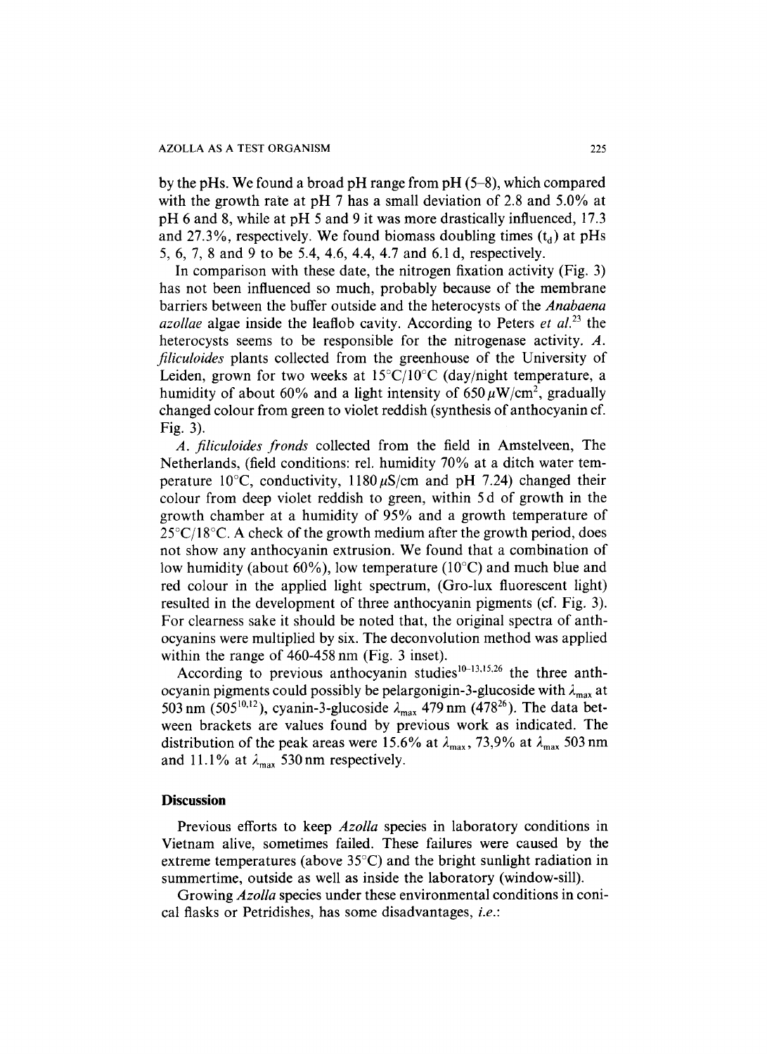by the pHs. We found a broad pH range from pH (5-8), which compared with the growth rate at pH 7 has a small deviation of 2.8 and 5.0% at pH 6 and 8, while at pH 5 and 9 it was more drastically influenced, 17.3 and 27.3%, respectively. We found biomass doubling times  $(t_d)$  at pHs 5, 6, 7, 8 and 9 to be 5.4, 4.6, 4.4, 4.7 and 6.1 d, respectively.

In comparison with these date, the nitrogen fixation activity (Fig. 3) has not been influenced so much, probably because of the membrane barriers between the buffer outside and the heterocysts of the *Anabaena azollae* algae inside the leaflob cavity. According to Peters *et al. 23* the heterocysts seems to be responsible for the nitrogenase activity. A. *filiculoides* plants collected from the greenhouse of the University of Leiden, grown for two weeks at  $15^{\circ}$ C/10<sup>o</sup>C (day/night temperature, a humidity of about 60% and a light intensity of 650  $\mu$ W/cm<sup>2</sup>, gradually changed colour from green to violet reddish (synthesis of anthocyanin cf. Fig. 3).

*A. filiculoides fronds* collected from the field in Amstelveen, The Netherlands, (field conditions: rel. humidity 70% at a ditch water temperature 10 $\degree$ C, conductivity, 1180  $\mu$ S/cm and pH 7.24) changed their colour from deep violet reddish to green, within 5 d of growth in the growth chamber at a humidity of 95% and a growth temperature of  $25^{\circ}$ C/18<sup>°</sup>C. A check of the growth medium after the growth period, does not show any anthocyanin extrusion. We found that a combination of low humidity (about 60%), low temperature (10 $^{\circ}$ C) and much blue and red colour in the applied light spectrum, (Gro-lux fluorescent light) resulted in the development of three anthocyanin pigments (cf. Fig. 3). For clearness sake it should be noted that, the original spectra of anthocyanins were multiplied by six. The deconvolution method was applied within the range of 460-458 nm (Fig. 3 inset).

According to previous anthocyanin studies $10-13,15,26$  the three anthocyanin pigments could possibly be pelargonigin-3-glucoside with  $\lambda_{\text{max}}$  at 503 nm (505<sup>10,12</sup>), cyanin-3-glucoside  $\lambda_{\text{max}}$  479 nm (478<sup>26</sup>). The data between brackets are values found by previous work as indicated. The distribution of the peak areas were 15.6% at  $\lambda_{\text{max}}$ , 73,9% at  $\lambda_{\text{max}}$  503 nm and 11.1% at  $\lambda_{\text{max}}$  530 nm respectively.

## **Discussion**

Previous efforts to keep *Azolla* species in laboratory conditions in Vietnam alive, sometimes failed. These failures were caused by the extreme temperatures (above  $35^{\circ}$ C) and the bright sunlight radiation in summertime, outside as well as inside the laboratory (window-sill).

Growing *Azolla* species under these environmental conditions in conical flasks or Petridishes, has some disadvantages, *i.e.:*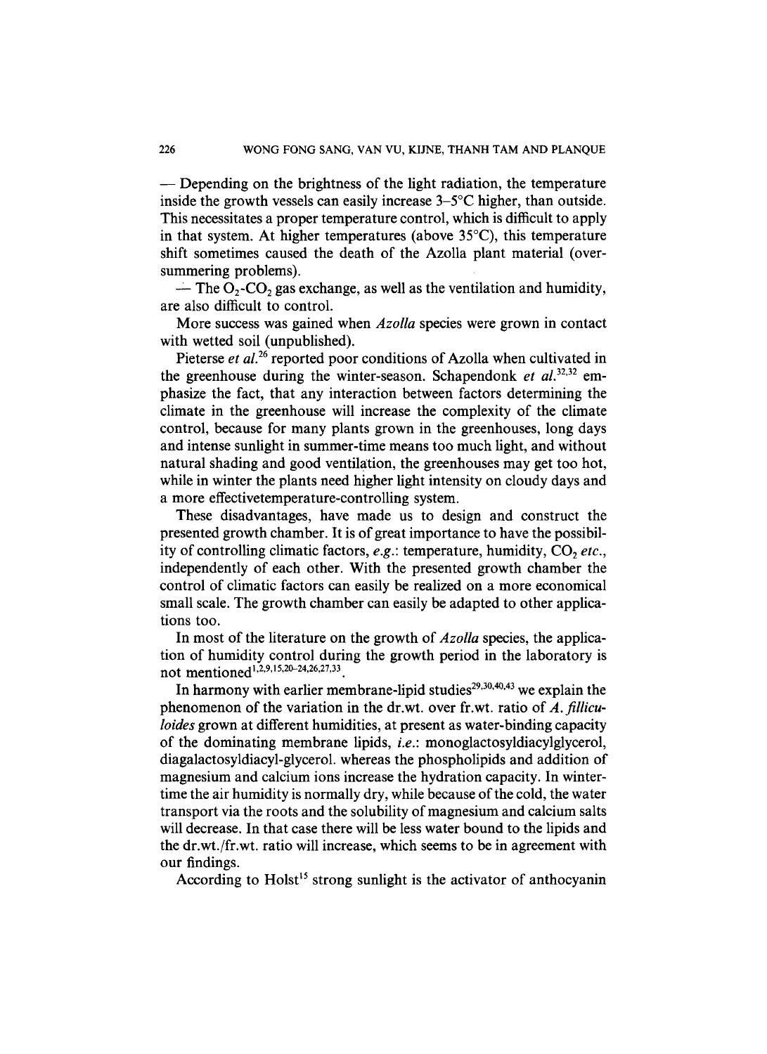**--** Depending on the brightness of the light radiation, the temperature inside the growth vessels can easily increase  $3-5^{\circ}$ C higher, than outside. This necessitates a proper temperature control, which is difficult to apply in that system. At higher temperatures (above  $35^{\circ}$ C), this temperature shift sometimes caused the death of the Azolla plant material (oversummering problems).

 $-$  The O<sub>2</sub>-CO<sub>2</sub> gas exchange, as well as the ventilation and humidity, are also difficult to control.

More success was gained when *Azolla* species were grown in contact with wetted soil (unpublished).

Pieterse *et al.*<sup>26</sup> reported poor conditions of Azolla when cultivated in the greenhouse during the winter-season. Schapendonk *et al.*<sup>32,32</sup> emphasize the fact, that any interaction between factors determining the climate in the greenhouse will increase the complexity of the climate control, because for many plants grown in the greenhouses, long days and intense sunlight in summer-time means too much light, and without natural shading and good ventilation, the greenhouses may get too hot, while in winter the plants need higher light intensity on cloudy days and a more effectivetemperature-controlling system.

These disadvantages, have made us to design and construct the presented growth chamber. It is of great importance to have the possibility of controlling climatic factors, *e.g.*: temperature, humidity, CO<sub>2</sub> *etc.*, independently of each other. With the presented growth chamber the control of climatic factors can easily be realized on a more economical small scale. The growth chamber can easily be adapted to other applications too.

In most of the literature on the growth of *Azolla* species, the application of humidity control during the growth period in the laboratory is not mentioned<sup>1,2,9,15,20-24,26,27,33</sup>

In harmony with earlier membrane-lipid studies $29,30,40,43$  we explain the phenomenon of the variation in the dr.wt, over fr.wt, ratio of *A. filliculoides* grown at different humidities, at present as water-binding capacity of the dominating membrane lipids, *i.e.:* monoglactosyldiacylglycerol, diagalactosyldiacyl-glycerol, whereas the phospholipids and addition of magnesium and calcium ions increase the hydration capacity. In wintertime the air humidity is normally dry, while because of the cold, the water transport via the roots and the solubility of magnesium and calcium salts will decrease. In that case there will be less water bound to the lipids and the dr.wt./fr.wt, ratio will increase, which seems to be in agreement with our findings.

According to Holst<sup>15</sup> strong sunlight is the activator of anthocyanin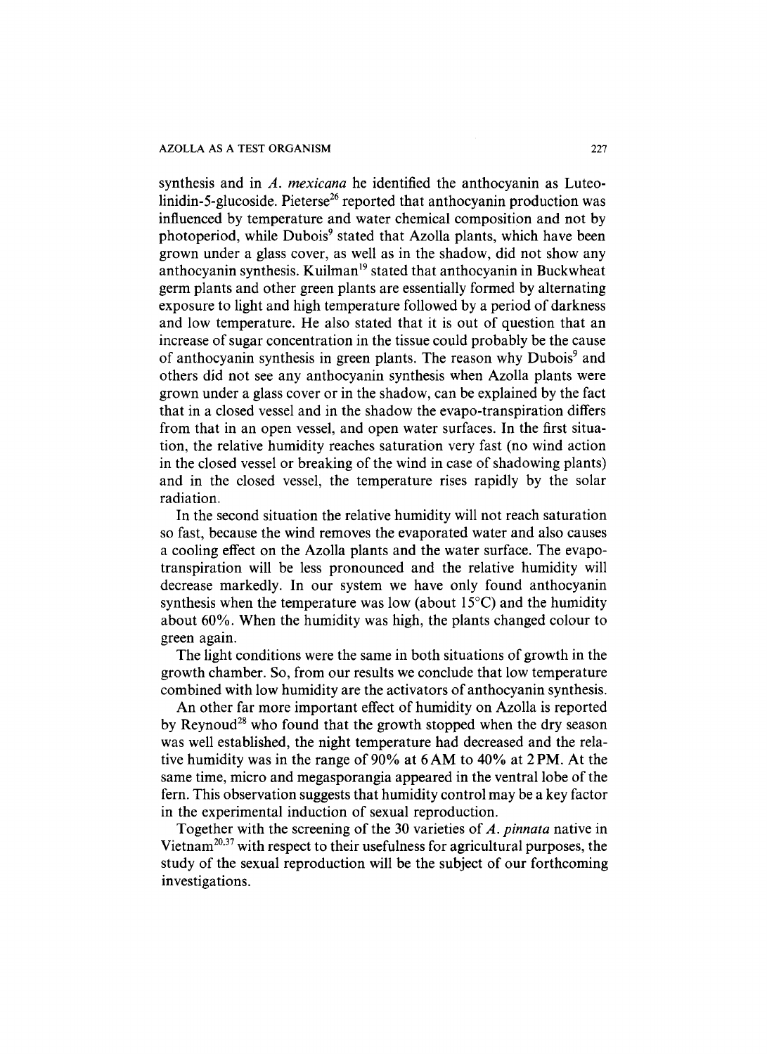synthesis and in *A. mexicana* he identified the anthocyanin as Luteolinidin-5-glucoside. Pieterse<sup>26</sup> reported that anthocyanin production was influenced by temperature and water chemical composition and not by photoperiod, while Dubois<sup>9</sup> stated that Azolla plants, which have been grown under a glass cover, as well as in the shadow, did not show any anthocyanin synthesis. Kuilman<sup>19</sup> stated that anthocyanin in Buckwheat germ plants and other green plants are essentially formed by alternating exposure to light and high temperature followed by a period of darkness and low temperature. He also stated that it is out of question that an increase of sugar concentration in the tissue could probably be the cause of anthocyanin synthesis in green plants. The reason why Dubois<sup>9</sup> and others did not see any anthocyanin synthesis when Azolla plants were grown under a glass cover or in the shadow, can be explained by the fact that in a closed vessel and in the shadow the evapo-transpiration differs from that in an open vessel, and open water surfaces. In the first situation, the relative humidity reaches saturation very fast (no wind action in the closed vessel or breaking of the wind in case of shadowing plants) and in the closed vessel, the temperature rises rapidly by the solar radiation.

In the second situation the relative humidity will not reach saturation so fast, because the wind removes the evaporated water and also causes a cooling effect on the Azolla plants and the water surface. The evapotranspiration will be less pronounced and the relative humidity will decrease markedly. In our system we have only found anthocyanin synthesis when the temperature was low (about  $15^{\circ}$ C) and the humidity about 60%. When the humidity was high, the plants changed colour to green again.

The light conditions were the same in both situations of growth in the growth chamber. So, from our results we conclude that low temperature combined with low humidity are the activators of anthocyanin synthesis.

An other far more important effect of humidity on Azolla is reported by Reynoud<sup>28</sup> who found that the growth stopped when the dry season was well established, the night temperature had decreased and the relative humidity was in the range of 90% at 6 AM to 40% at 2 PM. At the same time, micro and megasporangia appeared in the ventral lobe of the fern. This observation suggests that humidity control may be a key factor in the experimental induction of sexual reproduction.

Together with the screening of the 30 varieties of *A. pinnata* native in Vietnam<sup>20,37</sup> with respect to their usefulness for agricultural purposes, the study of the sexual reproduction will be the subject of our forthcoming investigations.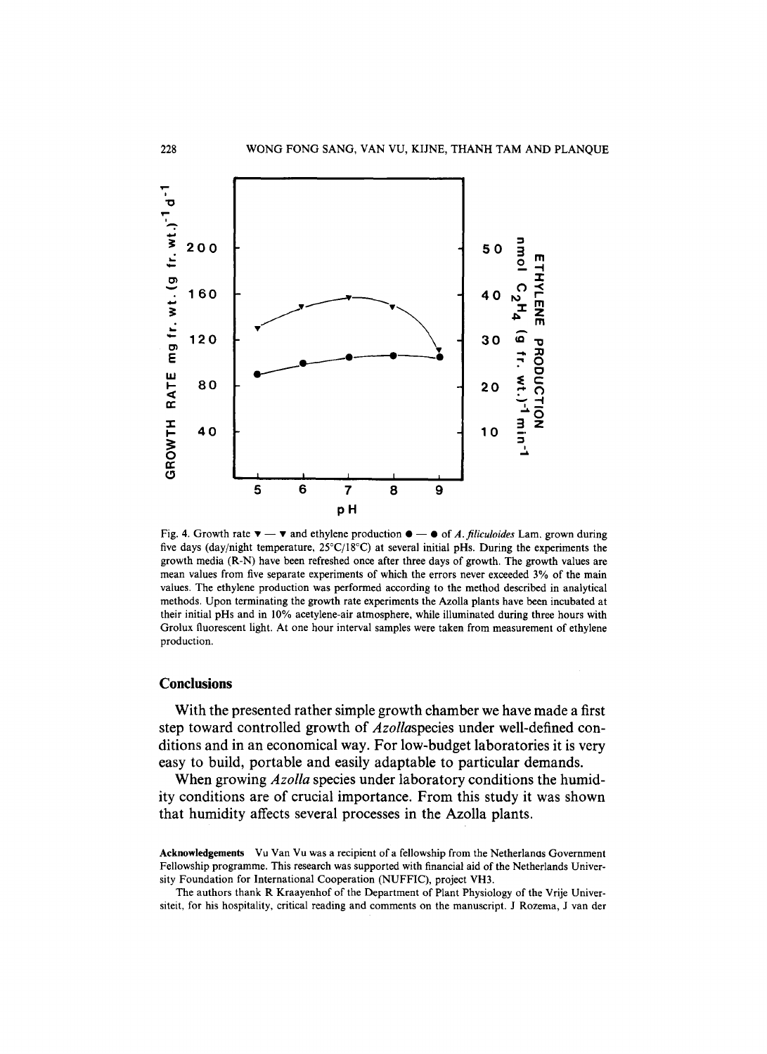

Fig. 4. Growth rate  $\mathbf{v} = \mathbf{v}$  and ethylene production  $\mathbf{e} = \mathbf{e}$  of *A. filiculoides* Lam. grown during five days (day/night temperature,  $25^{\circ}C/18^{\circ}C$ ) at several initial pHs. During the experiments the growth media (R-N) have been refreshed once after three days of growth. The growth values are mean values from five separate experiments of which the errors never exceeded 3% of the main values. The ethylene production was performed according to the method described in analytical methods. Upon terminating the growth rate experiments the Azolla plants have been incubated at their initial pHs and in 10% acetylene-air atmosphere, while illuminated during three hours with Grolux fluorescent light. At one hour interval samples were taken from measurement of ethylene production.

## **Conclusions**

**With the presented rather simple growth chamber we have made a first step toward controlled growth of** *Azollaspecies* **under well-defined conditions and in an economical way. For low-budget laboratories it is very easy to build, portable and easily adaptable to particular demands.** 

**When growing** *Azolla* **species under laboratory conditions the humid**ity conditions are of crucial importance. From this study it was shown that humidity affects several processes in the Azolla plants.

**Acknowledgements** Vu Van Vu was a recipient of a fellowship from the Netherlanos Government Fellowship programme. This research was supported with financial aid of the Netherlands University Foundation for International Cooperation (NUFFIC), project VH3.

The authors thank R Kraayenhof of the Department of Plant Physiology of the Vrije Universiteit, for his hospitality, critical reading and comments on the manuscript. J Rozema, J van der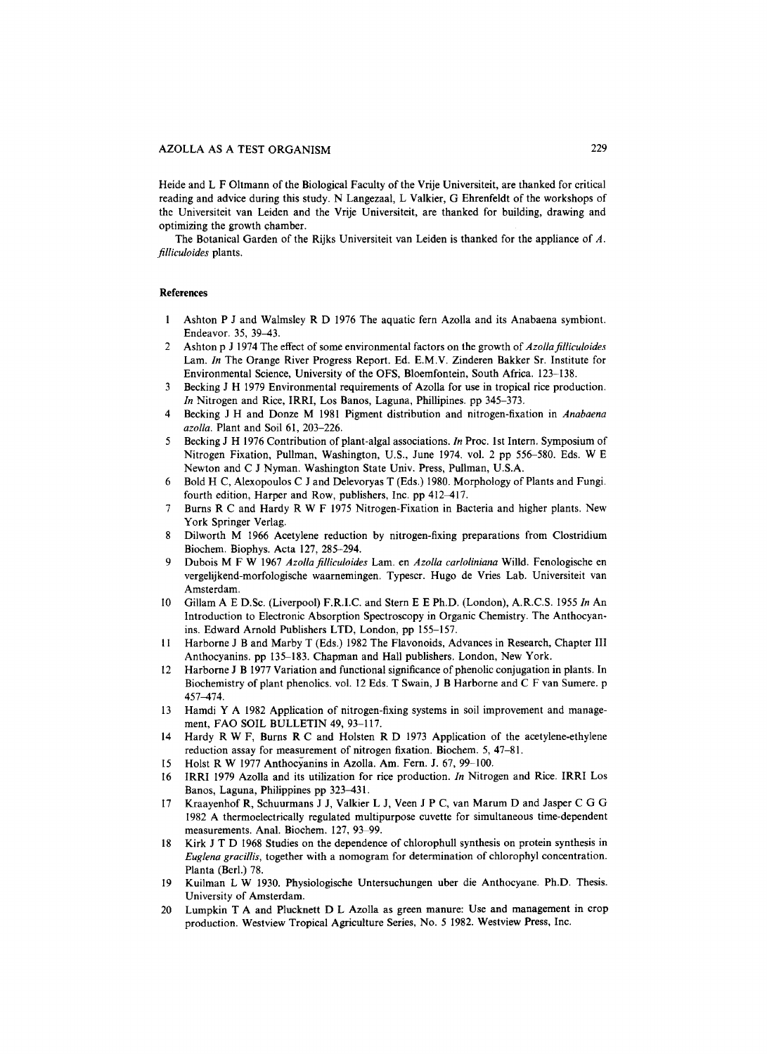Heide and L F Oltmann of the Biological Faculty of the Vrije Universiteit, are thanked for critical reading and advice during this study. N Langezaal, L Valkier, G Ehrenfeldt of the workshops of the Universiteit van Leiden and the Vrije Universiteit, are thanked for building, drawing and optimizing the growth chamber.

The Botanical Garden of the Rijks Universiteit van Leiden is thanked for the appliance of  $A$ . *filliculoides* plants.

#### **References**

- 1 Ashton P J and Walmsley R D 1976 The aquatic fern Azolla and its Anabaena symbiont. Endeavor. 35, 39-43.
- 2 Ashton p J 1974 The effect of some environmental factors on the growth of *Azollafilliculoides*  Lam. *In* The Orange River Progress Report. Ed. E.M.V. Zinderen Bakker Sr. Institute for Environmental Science, University of the OFS, Bloemfontein, South Africa. 123-138.
- 3 Becking J H 1979 Environmental requirements of Azolla for use in tropical rice production. *In* Nitrogen and Rice, IRRI, Los Banos, Laguna, Phillipines. pp 345-373.
- 4 Becking J H and Donze M 1981 Pigment distribution and nitrogen-fixation in *Anabaena azolla.* Plant and Soil 61,203-226.
- 5 Becking J H 1976 Contribution of plant-algal associations. *In* Proc. 1st Intern. Symposium of Nitrogen Fixation, Pullman, Washington, U.S., June 1974. vol. 2 pp 556-580. Eds. W E Newton and C J Nyman. Washington State Univ. Press, Pullman, U.S.A.
- 6 Bold H C, Alexopoulos C J and Delevoryas T (Eds.) 1980. Morphology of Plants and Fungi. fourth edition, Harper and Row, publishers, Inc. pp 412-417.
- 7 Burns R C and Hardy R W F 1975 Nitrogen-Fixation in Bacteria and higher plants. New York Springer Verlag.
- 8 Dilworth M 1966 Acetylene reduction by nitrogen-fixing preparations from Clostridium Biochem. Biophys. Acta 127, 285-294.
- 9 Dubois M F W 1967 *Azollafilliculoides* Lam. en *Azolla carloliniana* Willd. Fenologische en vergelijkend-morfologische waarnemingen. Typescr. Hugo de Vries Lab. Universiteit van Amsterdam.
- I0 Gillam A E D.Sc. (Liverpool) F.R.I.C. and Stern E E Ph.D. (London), A.R.C.S. 1955 *In* An Introduction to Electronic Absorption Spectroscopy in Organic Chemistry. The Anthocyanins. Edward Arnold Publishers LTD, London, pp 155-157.
- 11 Harborne J B and Marby T (Eds.) 1982 The Flavonoids, Advances in Research, Chapter III Anthocyanins. pp 135-183. Chapman and Hall publishers. London, New York.
- 12 Harborne J B 1977 Variation and functional significance of phenolic conjugation in plants. In Biochemistry of plant phenolics, vol. 12 Eds. T Swain, J B Harborne and C F van Sumere. p 457-474.
- 13 Hamdi Y A 1982 Application of nitrogen-fixing systems in soil improvement and management, FAO SOIL BULLETIN 49, 93-117.
- 14 Hardy R W F, Burns R C and Holsten R D 1973 Application of the acetylene-ethylene reduction assay for measurement of nitrogen fixation. Biochem. 5, 47-81.
- 15 Hoist R W 1977 Anthocyanins in Azolla. Am. Fern. J. 67, 99-100.
- 16 IRRI 1979 Azolla and its utilization for rice production. *In* Nitrogen and Rice. IRRI Los Banos, Laguna, Philippines pp 323-431.
- 17 Kraayenhof R, Schuurmans J J, Valkier L J, Veen J P C, van Marum D and Jasper C G G 1982 A thermoelectrically regulated multipurpose cuvette for simultaneous time-dependent measurements. Anal. Biochem. 127, 93-99.
- 18 Kirk J T D 1968 Studies on the dependence of chlorophull synthesis on protein synthesis in *Euglena gracillis,* together with a nomogram for determination of chlorophyl concentration. Planta (Berl.) 78.
- 19 Kuilman L W 1930. Physiologische Untersuchungen uber die Anthocyane. Ph.D. Thesis. University of Amsterdam.
- 20 Lumpkin T A and Plucknett D L Azolla as green manure: Use and management in crop production. Westview Tropical Agriculture Series, No. 5 1982. Westview Press, Inc.